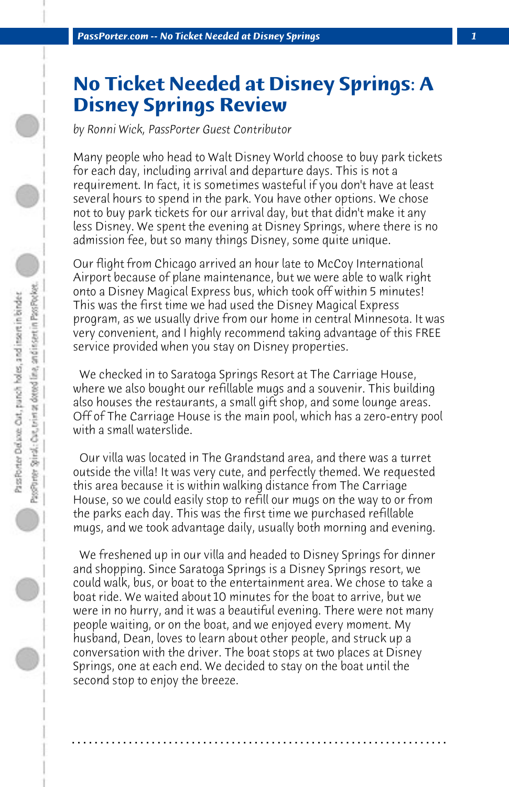## **No Ticket Needed at Disney Springs: A Disney Springs Review**

*by Ronni Wick, PassPorter Guest Contributor*

Many people who head to Walt Disney World choose to buy park tickets for each day, including arrival and departure days. This is not a requirement. In fact, it is sometimes wasteful if you don't have at least several hours to spend in the park. You have other options. We chose not to buy park tickets for our arrival day, but that didn't make it any less Disney. We spent the evening at Disney Springs, where there is no admission fee, but so many things Disney, some quite unique.

Our flight from Chicago arrived an hour late to McCoy International Airport because of plane maintenance, but we were able to walk right onto a Disney Magical Express bus, which took off within 5 minutes! This was the first time we had used the Disney Magical Express program, as we usually drive from our home in central Minnesota. It was very convenient, and I highly recommend taking advantage of this FREE service provided when you stay on Disney properties.

 We checked in to Saratoga Springs Resort at The Carriage House, where we also bought our refillable mugs and a souvenir. This building also houses the restaurants, a small gift shop, and some lounge areas. Off of The Carriage House is the main pool, which has a zero-entry pool with a small waterslide.

 Our villa was located in The Grandstand area, and there was a turret outside the villa! It was very cute, and perfectly themed. We requested this area because it is within walking distance from The Carriage House, so we could easily stop to refill our mugs on the way to or from the parks each day. This was the first time we purchased refillable mugs, and we took advantage daily, usually both morning and evening.

 We freshened up in our villa and headed to Disney Springs for dinner and shopping. Since Saratoga Springs is a Disney Springs resort, we could walk, bus, or boat to the entertainment area. We chose to take a boat ride. We waited about 10 minutes for the boat to arrive, but we were in no hurry, and it was a beautiful evening. There were not many people waiting, or on the boat, and we enjoyed every moment. My husband, Dean, loves to learn about other people, and struck up a conversation with the driver. The boat stops at two places at Disney Springs, one at each end. We decided to stay on the boat until the second stop to enjoy the breeze.

**. . . . . . . . . . . . . . . . . . . . . . . . . . . . . . . . . . . . . . . . . . . . . . . . . . . . . . . . . . . . . . . . . .**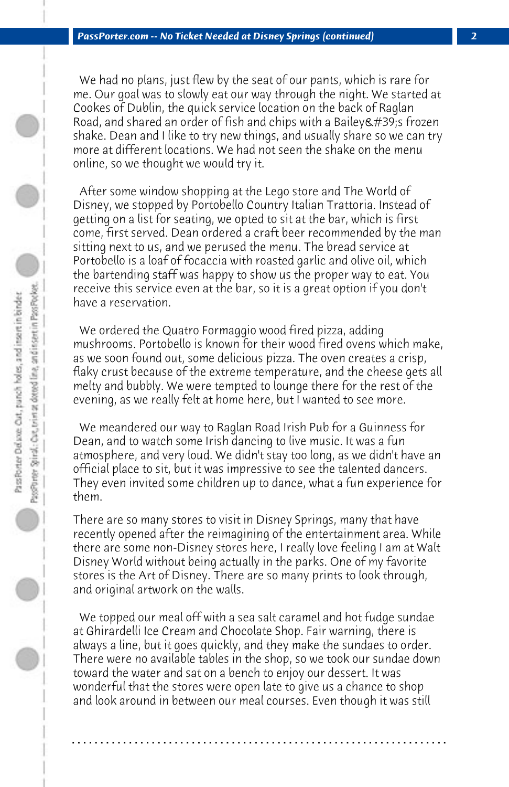We had no plans, just flew by the seat of our pants, which is rare for me. Our goal was to slowly eat our way through the night. We started at Cookes of Dublin, the quick service location on the back of Raglan Road, and shared an order of fish and chips with a Bailey & #39;s frozen shake. Dean and I like to try new things, and usually share so we can try more at different locations. We had not seen the shake on the menu online, so we thought we would try it.

 After some window shopping at the Lego store and The World of Disney, we stopped by Portobello Country Italian Trattoria. Instead of getting on a list for seating, we opted to sit at the bar, which is first come, first served. Dean ordered a craft beer recommended by the man sitting next to us, and we perused the menu. The bread service at Portobello is a loaf of focaccia with roasted garlic and olive oil, which the bartending staff was happy to show us the proper way to eat. You receive this service even at the bar, so it is a great option if you don't have a reservation.

 We ordered the Quatro Formaggio wood fired pizza, adding mushrooms. Portobello is known for their wood fired ovens which make, as we soon found out, some delicious pizza. The oven creates a crisp, flaky crust because of the extreme temperature, and the cheese gets all melty and bubbly. We were tempted to lounge there for the rest of the evening, as we really felt at home here, but I wanted to see more.

 We meandered our way to Raglan Road Irish Pub for a Guinness for Dean, and to watch some Irish dancing to live music. It was a fun atmosphere, and very loud. We didn't stay too long, as we didn't have an official place to sit, but it was impressive to see the talented dancers. They even invited some children up to dance, what a fun experience for them.

There are so many stores to visit in Disney Springs, many that have recently opened after the reimagining of the entertainment area. While there are some non-Disney stores here, I really love feeling I am at Walt Disney World without being actually in the parks. One of my favorite stores is the Art of Disney. There are so many prints to look through, and original artwork on the walls.

 We topped our meal off with a sea salt caramel and hot fudge sundae at Ghirardelli Ice Cream and Chocolate Shop. Fair warning, there is always a line, but it goes quickly, and they make the sundaes to order. There were no available tables in the shop, so we took our sundae down toward the water and sat on a bench to enjoy our dessert. It was wonderful that the stores were open late to give us a chance to shop and look around in between our meal courses. Even though it was still

**. . . . . . . . . . . . . . . . . . . . . . . . . . . . . . . . . . . . . . . . . . . . . . . . . . . . . . . . . . . . . . . . . .**